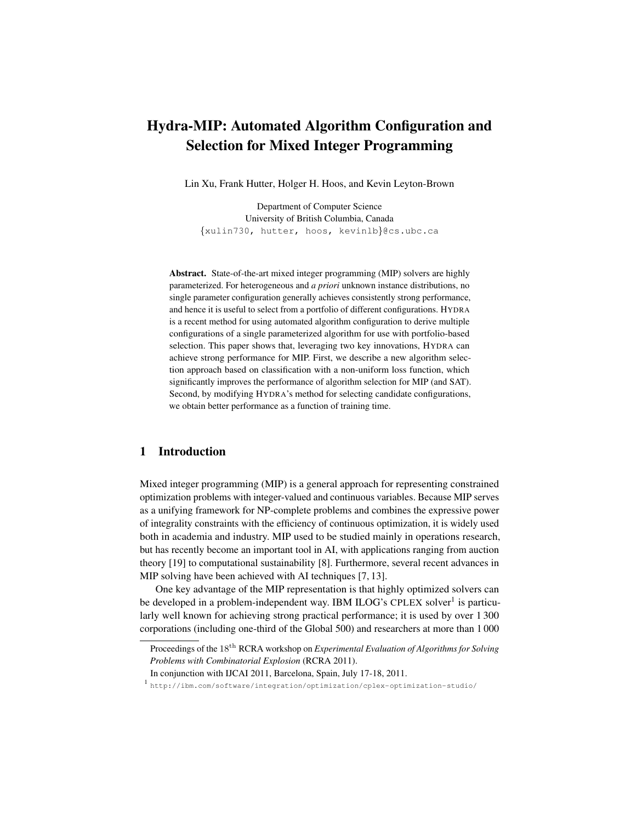# Hydra-MIP: Automated Algorithm Configuration and Selection for Mixed Integer Programming

Lin Xu, Frank Hutter, Holger H. Hoos, and Kevin Leyton-Brown

Department of Computer Science University of British Columbia, Canada {xulin730, hutter, hoos, kevinlb}@cs.ubc.ca

Abstract. State-of-the-art mixed integer programming (MIP) solvers are highly parameterized. For heterogeneous and *a priori* unknown instance distributions, no single parameter configuration generally achieves consistently strong performance, and hence it is useful to select from a portfolio of different configurations. HYDRA is a recent method for using automated algorithm configuration to derive multiple configurations of a single parameterized algorithm for use with portfolio-based selection. This paper shows that, leveraging two key innovations, HYDRA can achieve strong performance for MIP. First, we describe a new algorithm selection approach based on classification with a non-uniform loss function, which significantly improves the performance of algorithm selection for MIP (and SAT). Second, by modifying HYDRA's method for selecting candidate configurations, we obtain better performance as a function of training time.

# 1 Introduction

Mixed integer programming (MIP) is a general approach for representing constrained optimization problems with integer-valued and continuous variables. Because MIP serves as a unifying framework for NP-complete problems and combines the expressive power of integrality constraints with the efficiency of continuous optimization, it is widely used both in academia and industry. MIP used to be studied mainly in operations research, but has recently become an important tool in AI, with applications ranging from auction theory [19] to computational sustainability [8]. Furthermore, several recent advances in MIP solving have been achieved with AI techniques [7, 13].

One key advantage of the MIP representation is that highly optimized solvers can be developed in a problem-independent way. IBM ILOG's CPLEX solver<sup>1</sup> is particularly well known for achieving strong practical performance; it is used by over 1 300 corporations (including one-third of the Global 500) and researchers at more than 1 000

Proceedings of the 18th RCRA workshop on *Experimental Evaluation of Algorithms for Solving Problems with Combinatorial Explosion* (RCRA 2011).

In conjunction with IJCAI 2011, Barcelona, Spain, July 17-18, 2011.

<sup>1</sup> http://ibm.com/software/integration/optimization/cplex-optimization-studio/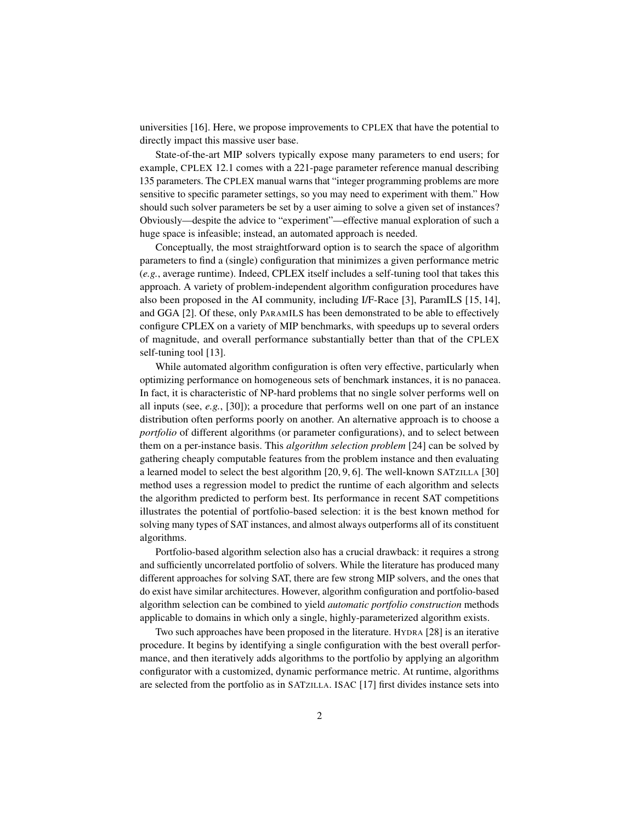universities [16]. Here, we propose improvements to CPLEX that have the potential to directly impact this massive user base.

State-of-the-art MIP solvers typically expose many parameters to end users; for example, CPLEX 12.1 comes with a 221-page parameter reference manual describing 135 parameters. The CPLEX manual warns that "integer programming problems are more sensitive to specific parameter settings, so you may need to experiment with them." How should such solver parameters be set by a user aiming to solve a given set of instances? Obviously—despite the advice to "experiment"—effective manual exploration of such a huge space is infeasible; instead, an automated approach is needed.

Conceptually, the most straightforward option is to search the space of algorithm parameters to find a (single) configuration that minimizes a given performance metric (*e.g.*, average runtime). Indeed, CPLEX itself includes a self-tuning tool that takes this approach. A variety of problem-independent algorithm configuration procedures have also been proposed in the AI community, including I/F-Race [3], ParamILS [15, 14], and GGA [2]. Of these, only PARAMILS has been demonstrated to be able to effectively configure CPLEX on a variety of MIP benchmarks, with speedups up to several orders of magnitude, and overall performance substantially better than that of the CPLEX self-tuning tool [13].

While automated algorithm configuration is often very effective, particularly when optimizing performance on homogeneous sets of benchmark instances, it is no panacea. In fact, it is characteristic of NP-hard problems that no single solver performs well on all inputs (see, *e.g.*, [30]); a procedure that performs well on one part of an instance distribution often performs poorly on another. An alternative approach is to choose a *portfolio* of different algorithms (or parameter configurations), and to select between them on a per-instance basis. This *algorithm selection problem* [24] can be solved by gathering cheaply computable features from the problem instance and then evaluating a learned model to select the best algorithm [20, 9, 6]. The well-known SATZILLA [30] method uses a regression model to predict the runtime of each algorithm and selects the algorithm predicted to perform best. Its performance in recent SAT competitions illustrates the potential of portfolio-based selection: it is the best known method for solving many types of SAT instances, and almost always outperforms all of its constituent algorithms.

Portfolio-based algorithm selection also has a crucial drawback: it requires a strong and sufficiently uncorrelated portfolio of solvers. While the literature has produced many different approaches for solving SAT, there are few strong MIP solvers, and the ones that do exist have similar architectures. However, algorithm configuration and portfolio-based algorithm selection can be combined to yield *automatic portfolio construction* methods applicable to domains in which only a single, highly-parameterized algorithm exists.

Two such approaches have been proposed in the literature. HYDRA [28] is an iterative procedure. It begins by identifying a single configuration with the best overall performance, and then iteratively adds algorithms to the portfolio by applying an algorithm configurator with a customized, dynamic performance metric. At runtime, algorithms are selected from the portfolio as in SATZILLA. ISAC [17] first divides instance sets into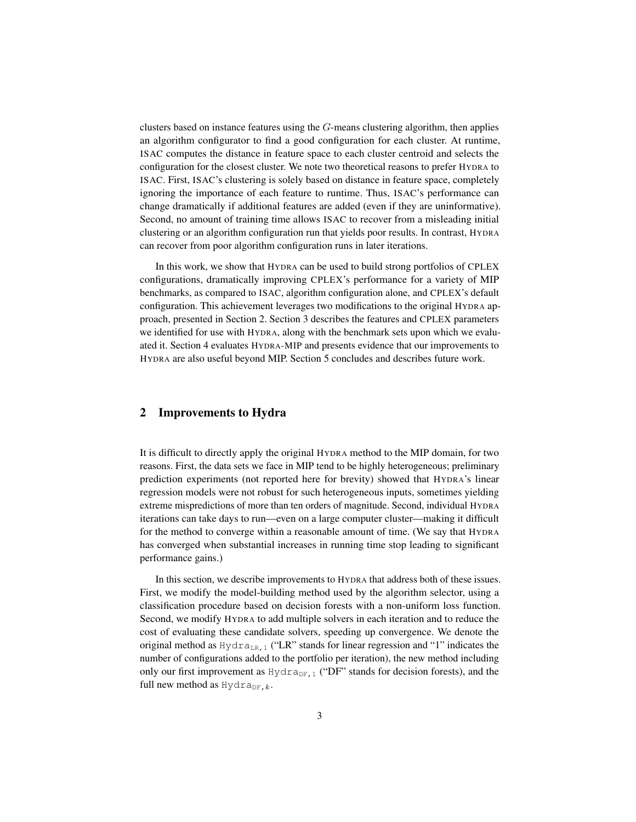clusters based on instance features using the  $G$ -means clustering algorithm, then applies an algorithm configurator to find a good configuration for each cluster. At runtime, ISAC computes the distance in feature space to each cluster centroid and selects the configuration for the closest cluster. We note two theoretical reasons to prefer HYDRA to ISAC. First, ISAC's clustering is solely based on distance in feature space, completely ignoring the importance of each feature to runtime. Thus, ISAC's performance can change dramatically if additional features are added (even if they are uninformative). Second, no amount of training time allows ISAC to recover from a misleading initial clustering or an algorithm configuration run that yields poor results. In contrast, HYDRA can recover from poor algorithm configuration runs in later iterations.

In this work, we show that HYDRA can be used to build strong portfolios of CPLEX configurations, dramatically improving CPLEX's performance for a variety of MIP benchmarks, as compared to ISAC, algorithm configuration alone, and CPLEX's default configuration. This achievement leverages two modifications to the original HYDRA approach, presented in Section 2. Section 3 describes the features and CPLEX parameters we identified for use with HYDRA, along with the benchmark sets upon which we evaluated it. Section 4 evaluates HYDRA-MIP and presents evidence that our improvements to HYDRA are also useful beyond MIP. Section 5 concludes and describes future work.

## 2 Improvements to Hydra

It is difficult to directly apply the original HYDRA method to the MIP domain, for two reasons. First, the data sets we face in MIP tend to be highly heterogeneous; preliminary prediction experiments (not reported here for brevity) showed that HYDRA's linear regression models were not robust for such heterogeneous inputs, sometimes yielding extreme mispredictions of more than ten orders of magnitude. Second, individual HYDRA iterations can take days to run—even on a large computer cluster—making it difficult for the method to converge within a reasonable amount of time. (We say that HYDRA has converged when substantial increases in running time stop leading to significant performance gains.)

In this section, we describe improvements to HYDRA that address both of these issues. First, we modify the model-building method used by the algorithm selector, using a classification procedure based on decision forests with a non-uniform loss function. Second, we modify HYDRA to add multiple solvers in each iteration and to reduce the cost of evaluating these candidate solvers, speeding up convergence. We denote the original method as  $Hydra_{LR,1}$  ("LR" stands for linear regression and "1" indicates the number of configurations added to the portfolio per iteration), the new method including only our first improvement as  $Hydr a_{DF,1}$  ("DF" stands for decision forests), and the full new method as  $Hydr a_{DF, k}$ .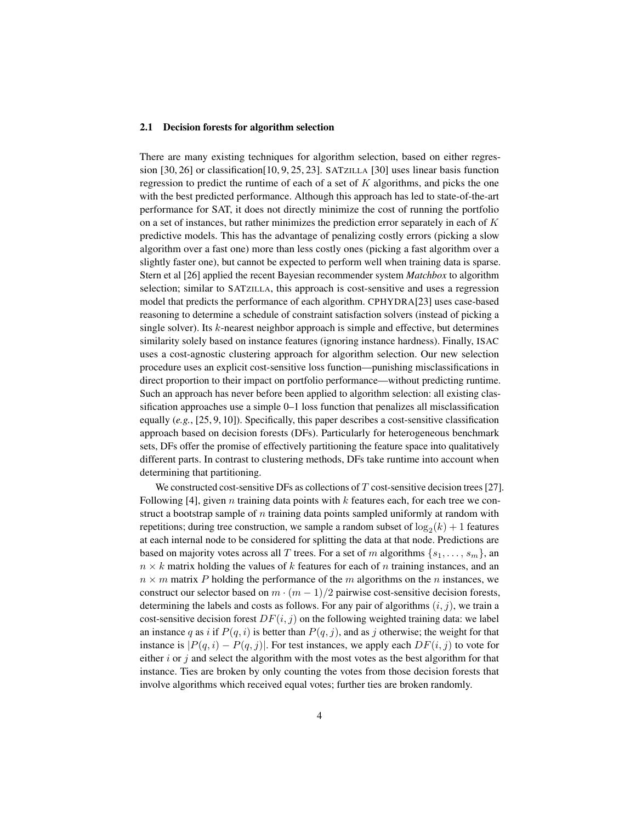#### 2.1 Decision forests for algorithm selection

There are many existing techniques for algorithm selection, based on either regression [30, 26] or classification[10, 9, 25, 23]. SATZILLA [30] uses linear basis function regression to predict the runtime of each of a set of  $K$  algorithms, and picks the one with the best predicted performance. Although this approach has led to state-of-the-art performance for SAT, it does not directly minimize the cost of running the portfolio on a set of instances, but rather minimizes the prediction error separately in each of  $K$ predictive models. This has the advantage of penalizing costly errors (picking a slow algorithm over a fast one) more than less costly ones (picking a fast algorithm over a slightly faster one), but cannot be expected to perform well when training data is sparse. Stern et al [26] applied the recent Bayesian recommender system *Matchbox* to algorithm selection; similar to SATZILLA, this approach is cost-sensitive and uses a regression model that predicts the performance of each algorithm. CPHYDRA[23] uses case-based reasoning to determine a schedule of constraint satisfaction solvers (instead of picking a single solver). Its  $k$ -nearest neighbor approach is simple and effective, but determines similarity solely based on instance features (ignoring instance hardness). Finally, ISAC uses a cost-agnostic clustering approach for algorithm selection. Our new selection procedure uses an explicit cost-sensitive loss function—punishing misclassifications in direct proportion to their impact on portfolio performance—without predicting runtime. Such an approach has never before been applied to algorithm selection: all existing classification approaches use a simple 0–1 loss function that penalizes all misclassification equally  $(e.g., [25, 9, 10])$ . Specifically, this paper describes a cost-sensitive classification approach based on decision forests (DFs). Particularly for heterogeneous benchmark sets, DFs offer the promise of effectively partitioning the feature space into qualitatively different parts. In contrast to clustering methods, DFs take runtime into account when determining that partitioning.

We constructed cost-sensitive DFs as collections of  $T$  cost-sensitive decision trees [27]. Following [4], given *n* training data points with  $k$  features each, for each tree we construct a bootstrap sample of  $n$  training data points sampled uniformly at random with repetitions; during tree construction, we sample a random subset of  $\log_2(k) + 1$  features at each internal node to be considered for splitting the data at that node. Predictions are based on majority votes across all T trees. For a set of m algorithms  $\{s_1, \ldots, s_m\}$ , an  $n \times k$  matrix holding the values of k features for each of n training instances, and an  $n \times m$  matrix P holding the performance of the m algorithms on the n instances, we construct our selector based on  $m \cdot (m-1)/2$  pairwise cost-sensitive decision forests, determining the labels and costs as follows. For any pair of algorithms  $(i, j)$ , we train a cost-sensitive decision forest  $DF(i, j)$  on the following weighted training data: we label an instance q as i if  $P(q, i)$  is better than  $P(q, j)$ , and as j otherwise; the weight for that instance is  $|P(q, i) - P(q, j)|$ . For test instances, we apply each  $DF(i, j)$  to vote for either  $i$  or  $j$  and select the algorithm with the most votes as the best algorithm for that instance. Ties are broken by only counting the votes from those decision forests that involve algorithms which received equal votes; further ties are broken randomly.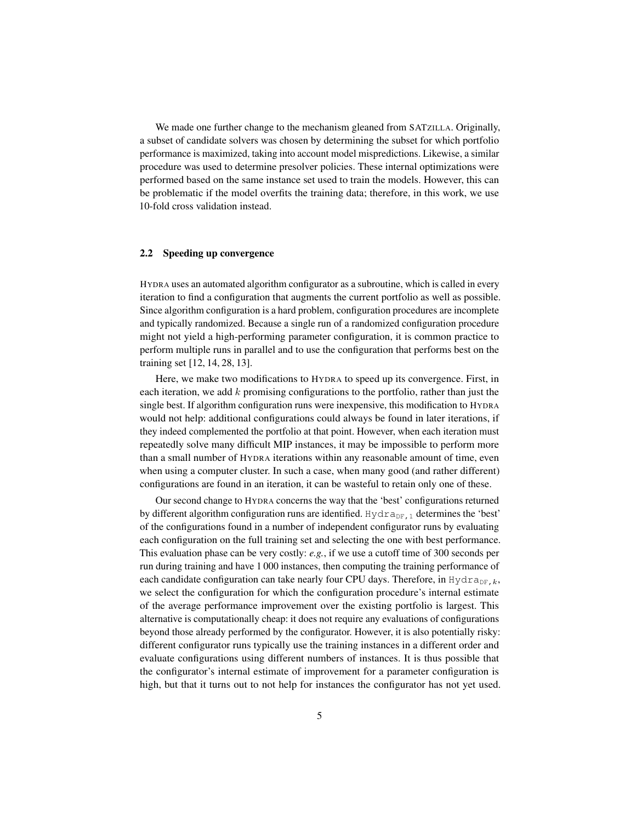We made one further change to the mechanism gleaned from SATZILLA. Originally, a subset of candidate solvers was chosen by determining the subset for which portfolio performance is maximized, taking into account model mispredictions. Likewise, a similar procedure was used to determine presolver policies. These internal optimizations were performed based on the same instance set used to train the models. However, this can be problematic if the model overfits the training data; therefore, in this work, we use 10-fold cross validation instead.

#### 2.2 Speeding up convergence

HYDRA uses an automated algorithm configurator as a subroutine, which is called in every iteration to find a configuration that augments the current portfolio as well as possible. Since algorithm configuration is a hard problem, configuration procedures are incomplete and typically randomized. Because a single run of a randomized configuration procedure might not yield a high-performing parameter configuration, it is common practice to perform multiple runs in parallel and to use the configuration that performs best on the training set [12, 14, 28, 13].

Here, we make two modifications to HYDRA to speed up its convergence. First, in each iteration, we add k promising configurations to the portfolio, rather than just the single best. If algorithm configuration runs were inexpensive, this modification to HYDRA would not help: additional configurations could always be found in later iterations, if they indeed complemented the portfolio at that point. However, when each iteration must repeatedly solve many difficult MIP instances, it may be impossible to perform more than a small number of HYDRA iterations within any reasonable amount of time, even when using a computer cluster. In such a case, when many good (and rather different) configurations are found in an iteration, it can be wasteful to retain only one of these.

Our second change to HYDRA concerns the way that the 'best' configurations returned by different algorithm configuration runs are identified. Hydra<sub>DF, 1</sub> determines the 'best' of the configurations found in a number of independent configurator runs by evaluating each configuration on the full training set and selecting the one with best performance. This evaluation phase can be very costly: *e.g.*, if we use a cutoff time of 300 seconds per run during training and have 1 000 instances, then computing the training performance of each candidate configuration can take nearly four CPU days. Therefore, in Hydra<sub>DF,k</sub>, we select the configuration for which the configuration procedure's internal estimate of the average performance improvement over the existing portfolio is largest. This alternative is computationally cheap: it does not require any evaluations of configurations beyond those already performed by the configurator. However, it is also potentially risky: different configurator runs typically use the training instances in a different order and evaluate configurations using different numbers of instances. It is thus possible that the configurator's internal estimate of improvement for a parameter configuration is high, but that it turns out to not help for instances the configurator has not yet used.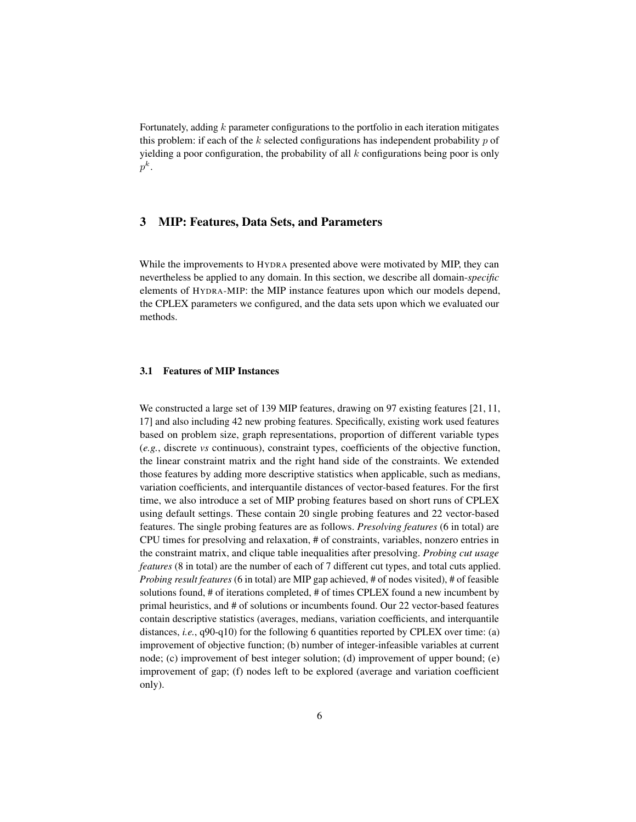Fortunately, adding k parameter configurations to the portfolio in each iteration mitigates this problem: if each of the k selected configurations has independent probability  $p$  of yielding a poor configuration, the probability of all  $k$  configurations being poor is only  $p^k.$ 

## 3 MIP: Features, Data Sets, and Parameters

While the improvements to HYDRA presented above were motivated by MIP, they can nevertheless be applied to any domain. In this section, we describe all domain-*specific* elements of HYDRA-MIP: the MIP instance features upon which our models depend, the CPLEX parameters we configured, and the data sets upon which we evaluated our methods.

## 3.1 Features of MIP Instances

We constructed a large set of 139 MIP features, drawing on 97 existing features [21, 11, 17] and also including 42 new probing features. Specifically, existing work used features based on problem size, graph representations, proportion of different variable types (*e.g.*, discrete *vs* continuous), constraint types, coefficients of the objective function, the linear constraint matrix and the right hand side of the constraints. We extended those features by adding more descriptive statistics when applicable, such as medians, variation coefficients, and interquantile distances of vector-based features. For the first time, we also introduce a set of MIP probing features based on short runs of CPLEX using default settings. These contain 20 single probing features and 22 vector-based features. The single probing features are as follows. *Presolving features* (6 in total) are CPU times for presolving and relaxation, # of constraints, variables, nonzero entries in the constraint matrix, and clique table inequalities after presolving. *Probing cut usage features* (8 in total) are the number of each of 7 different cut types, and total cuts applied. *Probing result features* (6 in total) are MIP gap achieved, # of nodes visited), # of feasible solutions found, # of iterations completed, # of times CPLEX found a new incumbent by primal heuristics, and # of solutions or incumbents found. Our 22 vector-based features contain descriptive statistics (averages, medians, variation coefficients, and interquantile distances, *i.e.*, q90-q10) for the following 6 quantities reported by CPLEX over time: (a) improvement of objective function; (b) number of integer-infeasible variables at current node; (c) improvement of best integer solution; (d) improvement of upper bound; (e) improvement of gap; (f) nodes left to be explored (average and variation coefficient only).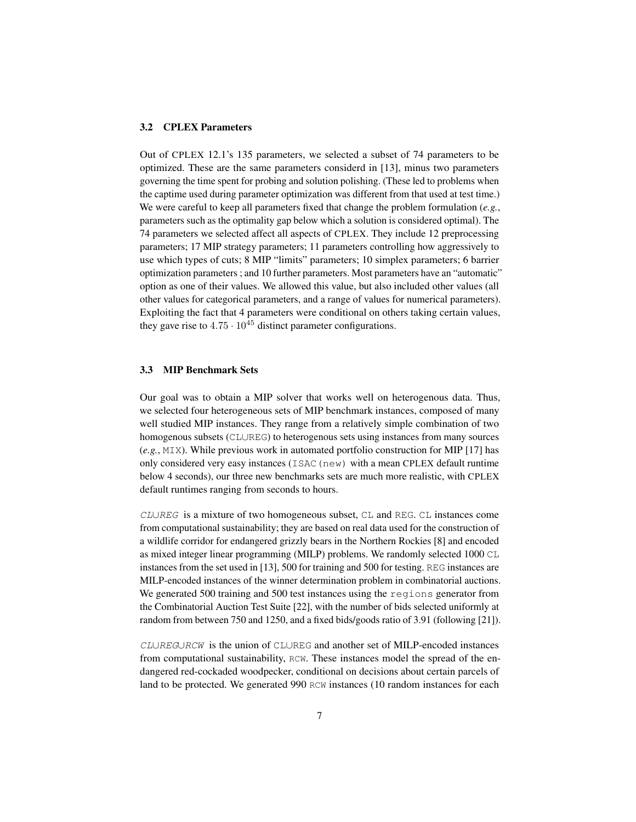### 3.2 CPLEX Parameters

Out of CPLEX 12.1's 135 parameters, we selected a subset of 74 parameters to be optimized. These are the same parameters considerd in [13], minus two parameters governing the time spent for probing and solution polishing. (These led to problems when the captime used during parameter optimization was different from that used at test time.) We were careful to keep all parameters fixed that change the problem formulation (*e.g.*, parameters such as the optimality gap below which a solution is considered optimal). The 74 parameters we selected affect all aspects of CPLEX. They include 12 preprocessing parameters; 17 MIP strategy parameters; 11 parameters controlling how aggressively to use which types of cuts; 8 MIP "limits" parameters; 10 simplex parameters; 6 barrier optimization parameters ; and 10 further parameters. Most parameters have an "automatic" option as one of their values. We allowed this value, but also included other values (all other values for categorical parameters, and a range of values for numerical parameters). Exploiting the fact that 4 parameters were conditional on others taking certain values, they gave rise to  $4.75 \cdot 10^{45}$  distinct parameter configurations.

### 3.3 MIP Benchmark Sets

Our goal was to obtain a MIP solver that works well on heterogenous data. Thus, we selected four heterogeneous sets of MIP benchmark instances, composed of many well studied MIP instances. They range from a relatively simple combination of two homogenous subsets (CL∪REG) to heterogenous sets using instances from many sources (*e.g.*, MIX). While previous work in automated portfolio construction for MIP [17] has only considered very easy instances ( $ISAC(new)$ ) with a mean CPLEX default runtime below 4 seconds), our three new benchmarks sets are much more realistic, with CPLEX default runtimes ranging from seconds to hours.

CL∪REG is a mixture of two homogeneous subset, CL and REG. CL instances come from computational sustainability; they are based on real data used for the construction of a wildlife corridor for endangered grizzly bears in the Northern Rockies [8] and encoded as mixed integer linear programming (MILP) problems. We randomly selected 1000 CL instances from the set used in [13], 500 for training and 500 for testing. REG instances are MILP-encoded instances of the winner determination problem in combinatorial auctions. We generated 500 training and 500 test instances using the regions generator from the Combinatorial Auction Test Suite [22], with the number of bids selected uniformly at random from between 750 and 1250, and a fixed bids/goods ratio of 3.91 (following [21]).

CL∪REG∪RCW is the union of CL∪REG and another set of MILP-encoded instances from computational sustainability, RCW. These instances model the spread of the endangered red-cockaded woodpecker, conditional on decisions about certain parcels of land to be protected. We generated 990 RCW instances (10 random instances for each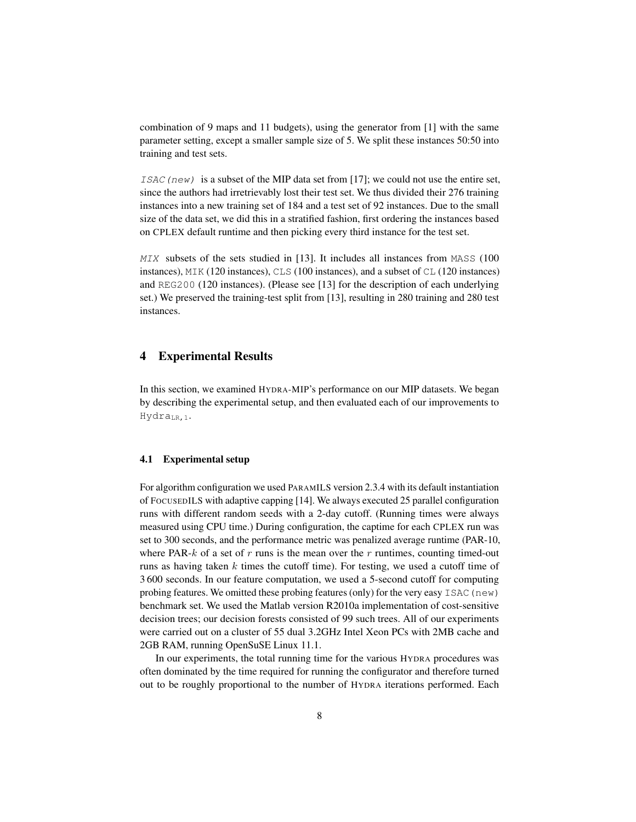combination of 9 maps and 11 budgets), using the generator from [1] with the same parameter setting, except a smaller sample size of 5. We split these instances 50:50 into training and test sets.

ISAC (new) is a subset of the MIP data set from [17]; we could not use the entire set, since the authors had irretrievably lost their test set. We thus divided their 276 training instances into a new training set of 184 and a test set of 92 instances. Due to the small size of the data set, we did this in a stratified fashion, first ordering the instances based on CPLEX default runtime and then picking every third instance for the test set.

MIX subsets of the sets studied in [13]. It includes all instances from MASS (100 instances), MIK (120 instances), CLS (100 instances), and a subset of CL (120 instances) and REG200 (120 instances). (Please see [13] for the description of each underlying set.) We preserved the training-test split from [13], resulting in 280 training and 280 test instances.

## 4 Experimental Results

In this section, we examined HYDRA-MIP's performance on our MIP datasets. We began by describing the experimental setup, and then evaluated each of our improvements to Hydra<sub>LR.1</sub>.

#### 4.1 Experimental setup

For algorithm configuration we used PARAMILS version 2.3.4 with its default instantiation of FOCUSEDILS with adaptive capping [14]. We always executed 25 parallel configuration runs with different random seeds with a 2-day cutoff. (Running times were always measured using CPU time.) During configuration, the captime for each CPLEX run was set to 300 seconds, and the performance metric was penalized average runtime (PAR-10, where PAR- $k$  of a set of r runs is the mean over the r runtimes, counting timed-out runs as having taken  $k$  times the cutoff time). For testing, we used a cutoff time of 3 600 seconds. In our feature computation, we used a 5-second cutoff for computing probing features. We omitted these probing features (only) for the very easy ISAC (new) benchmark set. We used the Matlab version R2010a implementation of cost-sensitive decision trees; our decision forests consisted of 99 such trees. All of our experiments were carried out on a cluster of 55 dual 3.2GHz Intel Xeon PCs with 2MB cache and 2GB RAM, running OpenSuSE Linux 11.1.

In our experiments, the total running time for the various HYDRA procedures was often dominated by the time required for running the configurator and therefore turned out to be roughly proportional to the number of HYDRA iterations performed. Each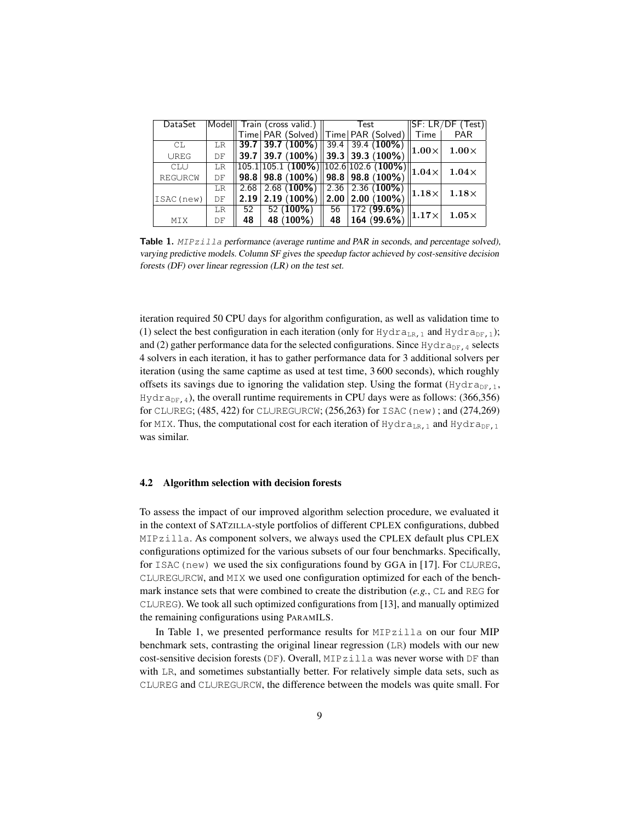| DataSet     |    | Model Train (cross valid.) |                                                                                                                      |  | Test |  |                       | ISF: LR/DF    | (Test)       |
|-------------|----|----------------------------|----------------------------------------------------------------------------------------------------------------------|--|------|--|-----------------------|---------------|--------------|
|             |    |                            | Time   PAR (Solved)    Time   PAR (Solved)                                                                           |  |      |  |                       | Time          | <b>PAR</b>   |
| СL          | LR |                            | <b>39.7 39.7</b> (100%) <b>39.4 39.4</b> (100%)                                                                      |  |      |  |                       | $ 1.00\times$ | $1.00\times$ |
| <b>UREG</b> | DF |                            | 39.7 39.7 (100%) 39.3 39.3 (100%)                                                                                    |  |      |  |                       |               |              |
| <b>CLU</b>  | LR |                            | $\frac{331}{105.1} \frac{331}{105.1} \frac{1}{100\%}\right) \cdot 102.6 \cdot 102.6 \cdot 100\% \cdot 1.04 \times 1$ |  |      |  |                       |               | $1.04\times$ |
| REGURCW     | DF |                            | $98.8$   98.8 (100%)   98.8   98.8 (100%)                                                                            |  |      |  |                       |               |              |
|             | LR |                            | $2.68$   2.68 (100%)   2.36   2.36 (100%)                                                                            |  |      |  |                       | $ 1.18\times$ | $1.18\times$ |
| ISAC (new)  | DF | 2.19                       | $2.19(100\%)$                                                                                                        |  |      |  | $2.00   2.00 (100\%)$ |               |              |
|             | LR | 52                         | $\overline{52}$ (100%)                                                                                               |  | 56   |  | 172(99.6%)            | $ 1.17\times$ | $1.05\times$ |
| MTX         | DF | 48                         | 48 (100%)                                                                                                            |  | 48   |  | 164 (99.6%)           |               |              |

Table 1. MIPzilla performance (average runtime and PAR in seconds, and percentage solved), varying predictive models. Column SF gives the speedup factor achieved by cost-sensitive decision forests (DF) over linear regression (LR) on the test set.

iteration required 50 CPU days for algorithm configuration, as well as validation time to (1) select the best configuration in each iteration (only for Hydra<sub>LR, 1</sub> and Hydra<sub>DF, 1</sub>); and (2) gather performance data for the selected configurations. Since  $Hydra_{DF,4}$  selects 4 solvers in each iteration, it has to gather performance data for 3 additional solvers per iteration (using the same captime as used at test time, 3 600 seconds), which roughly offsets its savings due to ignoring the validation step. Using the format  $(Hydr a_{DF,1},$  $Hydra_{DF,4}$ ), the overall runtime requirements in CPU days were as follows: (366,356) for CL∪REG; (485, 422) for CL∪REG∪RCW; (256,263) for ISAC(new); and (274,269) for MIX. Thus, the computational cost for each iteration of  $Hydra_{LR,1}$  and  $Hydra_{DF,1}$ was similar.

## 4.2 Algorithm selection with decision forests

To assess the impact of our improved algorithm selection procedure, we evaluated it in the context of SATZILLA-style portfolios of different CPLEX configurations, dubbed MIPzilla. As component solvers, we always used the CPLEX default plus CPLEX configurations optimized for the various subsets of our four benchmarks. Specifically, for ISAC (new) we used the six configurations found by GGA in [17]. For CL∪REG, CL∪REG∪RCW, and MIX we used one configuration optimized for each of the benchmark instance sets that were combined to create the distribution (*e.g.*, CL and REG for CL∪REG). We took all such optimized configurations from [13], and manually optimized the remaining configurations using PARAMILS.

In Table 1, we presented performance results for MIPzilla on our four MIP benchmark sets, contrasting the original linear regression (LR) models with our new cost-sensitive decision forests (DF). Overall, MIPzilla was never worse with DF than with LR, and sometimes substantially better. For relatively simple data sets, such as CL∪REG and CL∪REG∪RCW, the difference between the models was quite small. For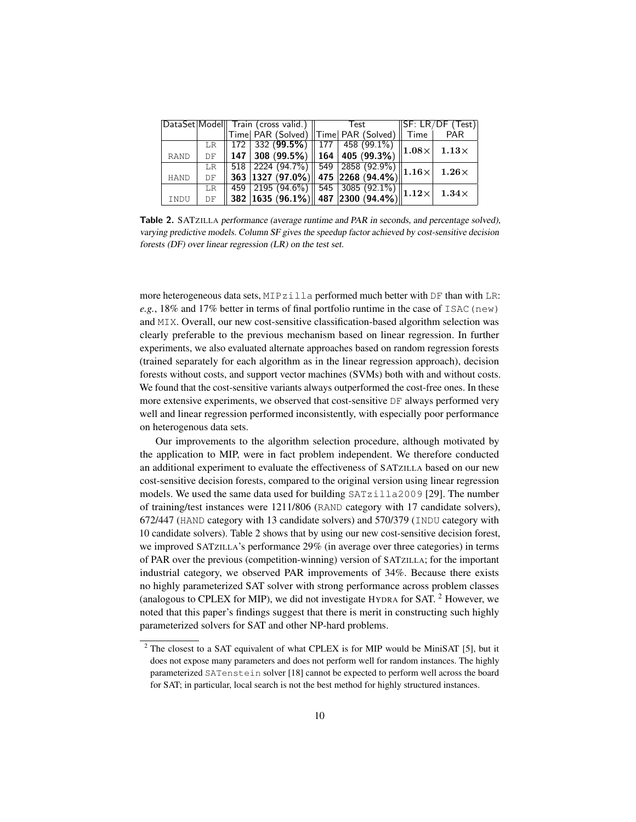|  |             |    | DataSet Model   Train (cross valid.)    Test    SF: LR/<br> Time  PAR (Solved)    Time  PAR (Solved)    Time |  |                                                          |  |  |  |  | SF: LR/DF (Test)                                                  |
|--|-------------|----|--------------------------------------------------------------------------------------------------------------|--|----------------------------------------------------------|--|--|--|--|-------------------------------------------------------------------|
|  |             |    |                                                                                                              |  |                                                          |  |  |  |  | <b>PAR</b>                                                        |
|  |             |    |                                                                                                              |  |                                                          |  |  |  |  | LR 172 332 (99.5%) 177 458 (99.1%) 1.08× 1.13×                    |
|  | <b>RAND</b> | DF |                                                                                                              |  | $\parallel$ 147   308 (99.5%)   164   405 (99.3%)        |  |  |  |  |                                                                   |
|  |             |    |                                                                                                              |  |                                                          |  |  |  |  | $\frac{DE}{LR}$ 518 2224 (94.7%) 549 2858 (92.9%) 1.16 \[ 1.26 \] |
|  | <b>HAND</b> | DF |                                                                                                              |  | $\ $ 363 $ $ 1327 (97.0%) $\ $ 475 $ $ 2268 (94.4%) $\ $ |  |  |  |  |                                                                   |
|  |             |    |                                                                                                              |  |                                                          |  |  |  |  |                                                                   |
|  | INDU        |    |                                                                                                              |  |                                                          |  |  |  |  | LR 459 2195 (94.6%) 545 3085 (92.1%) 1.12 1.34 ×                  |

Table 2. SATZILLA performance (average runtime and PAR in seconds, and percentage solved), varying predictive models. Column SF gives the speedup factor achieved by cost-sensitive decision forests (DF) over linear regression (LR) on the test set.

more heterogeneous data sets,  $MIPz111a$  performed much better with DF than with LR:  $e.g., 18\%$  and 17% better in terms of final portfolio runtime in the case of ISAC (new) and MIX. Overall, our new cost-sensitive classification-based algorithm selection was clearly preferable to the previous mechanism based on linear regression. In further experiments, we also evaluated alternate approaches based on random regression forests (trained separately for each algorithm as in the linear regression approach), decision forests without costs, and support vector machines (SVMs) both with and without costs. We found that the cost-sensitive variants always outperformed the cost-free ones. In these more extensive experiments, we observed that cost-sensitive DF always performed very well and linear regression performed inconsistently, with especially poor performance on heterogenous data sets.

Our improvements to the algorithm selection procedure, although motivated by the application to MIP, were in fact problem independent. We therefore conducted an additional experiment to evaluate the effectiveness of SATZILLA based on our new cost-sensitive decision forests, compared to the original version using linear regression models. We used the same data used for building  $SATz$ illa $2009$  [29]. The number of training/test instances were 1211/806 (RAND category with 17 candidate solvers), 672/447 (HAND category with 13 candidate solvers) and 570/379 (INDU category with 10 candidate solvers). Table 2 shows that by using our new cost-sensitive decision forest, we improved SATZILLA's performance 29% (in average over three categories) in terms of PAR over the previous (competition-winning) version of SATZILLA; for the important industrial category, we observed PAR improvements of 34%. Because there exists no highly parameterized SAT solver with strong performance across problem classes (analogous to CPLEX for MIP), we did not investigate HYDRA for SAT.  $2$  However, we noted that this paper's findings suggest that there is merit in constructing such highly parameterized solvers for SAT and other NP-hard problems.

 $2$  The closest to a SAT equivalent of what CPLEX is for MIP would be MiniSAT [5], but it does not expose many parameters and does not perform well for random instances. The highly parameterized SATenstein solver [18] cannot be expected to perform well across the board for SAT; in particular, local search is not the best method for highly structured instances.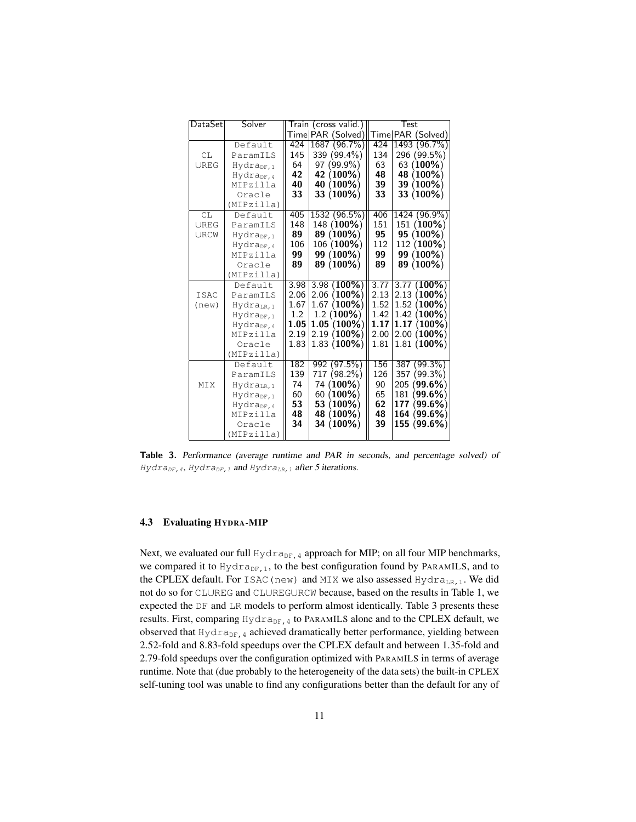| DataSet     | Solver                 |      | Train (cross valid.) | Test |  |                   |
|-------------|------------------------|------|----------------------|------|--|-------------------|
|             |                        |      | Time PAR (Solved)    |      |  | Time PAR (Solved) |
|             | Default                | 424  | 1687 (96.7%)         | 424  |  | 1493 (96.7%)      |
| CL          | ParamILS               | 145  | 339 (99.4%)          | 134  |  | 296 (99.5%)       |
| UREG        | Hydra <sub>DF.1</sub>  | 64   | 97 (99.9%)           | 63   |  | 63 (100%)         |
|             | Hydrapr.4              | 42   | 42 (100%)            | 48   |  | 48 (100%)         |
|             | MIPzilla               | 40   | 40 (100%)            | 39   |  | 39 (100%)         |
|             | Oracle                 | 33   | 33 (100%)            | 33   |  | 33 (100%)         |
|             | (MIPzilla)             |      |                      |      |  |                   |
| CL          | Default                | 405  | 1532 (96.5%)         | 406  |  | 1424 (96.9%)      |
| <b>UREG</b> | ParamILS               | 148  | 148 (100%)           | 151  |  | 151 (100%)        |
| URCW        | Hydra <sub>DF, 1</sub> | 89   | 89 (100%)            | 95   |  | 95 (100%)         |
|             | Hydra <sub>DF.4</sub>  | 106  | 106 (100%)           | 112  |  | 112 (100%)        |
|             | MIPzilla               | 99   | 99 (100%)            | 99   |  | 99 (100%)         |
|             | Oracle                 | 89   | 89 (100%)            | 89   |  | 89 (100%)         |
|             | (MIPzilla)             |      |                      |      |  |                   |
|             | Default                | 3.98 | $3.98(100\%)$        | 3.77 |  | 3.77(100%)        |
| <b>TSAC</b> | ParamILS               | 2.06 | $2.06(100\%)$        | 2.13 |  | $2.13(100\%)$     |
| (new)       | Hydra <sub>IR.1</sub>  | 1.67 | $1.67(100\%)$        | 1.52 |  | 1.52(100%)        |
|             | Hydra <sub>DF, 1</sub> | 1.2  | $1.2(100\%)$         | 1.42 |  | $1.42(100\%)$     |
|             | Hydra <sub>DF.4</sub>  | 1.05 | $1.05(100\%)$        | 1.17 |  | $1.17(100\%)$     |
|             | MIPzilla               | 2.19 | $2.19(100\%)$        | 2.00 |  | $2.00(100\%)$     |
|             | Oracle                 | 1.83 | $1.83(100\%)$        | 1.81 |  | $1.81(100\%)$     |
|             | (MIPzilla)             |      |                      |      |  |                   |
|             | Default.               | 182  | 992 (97.5%)          | 156  |  | 387 (99.3%)       |
|             | ParamILS               | 139  | 717 (98.2%)          | 126  |  | 357 (99.3%)       |
| MIX         | Hydra <sub>LR,1</sub>  | 74   | 74 (100%)            | 90   |  | 205 (99.6%)       |
|             | $Hydra_{DF,1}$         | 60   | $60(100\%)$          | 65   |  | 181 (99.6%)       |
|             | Hydra <sub>DF, 4</sub> | 53   | 53 (100%)            | 62   |  | 177 (99.6%)       |
|             | MIPzilla               | 48   | 48 (100%)            | 48   |  | 164 (99.6%)       |
|             | Oracle                 | 34   | 34 (100%)            | 39   |  | 155 (99.6%)       |
|             | (MIPzilla)             |      |                      |      |  |                   |

Table 3. Performance (average runtime and PAR in seconds, and percentage solved) of Hydra<sub>DF, 4</sub>, Hydra<sub>DF, 1</sub> and Hydra<sub>LR, 1</sub> after 5 iterations.

## 4.3 Evaluating HYDRA-MIP

Next, we evaluated our full  $Hydra_{DF,4}$  approach for MIP; on all four MIP benchmarks, we compared it to  $Hydra_{DF,1}$ , to the best configuration found by PARAMILS, and to the CPLEX default. For ISAC (new) and MIX we also assessed Hydra<sub>LR, 1</sub>. We did not do so for CL∪REG and CL∪REG∪RCW because, based on the results in Table 1, we expected the DF and LR models to perform almost identically. Table 3 presents these results. First, comparing  $Hydra_{DF,4}$  to PARAMILS alone and to the CPLEX default, we observed that  $Hydra_{DF,4}$  achieved dramatically better performance, yielding between 2.52-fold and 8.83-fold speedups over the CPLEX default and between 1.35-fold and 2.79-fold speedups over the configuration optimized with PARAMILS in terms of average runtime. Note that (due probably to the heterogeneity of the data sets) the built-in CPLEX self-tuning tool was unable to find any configurations better than the default for any of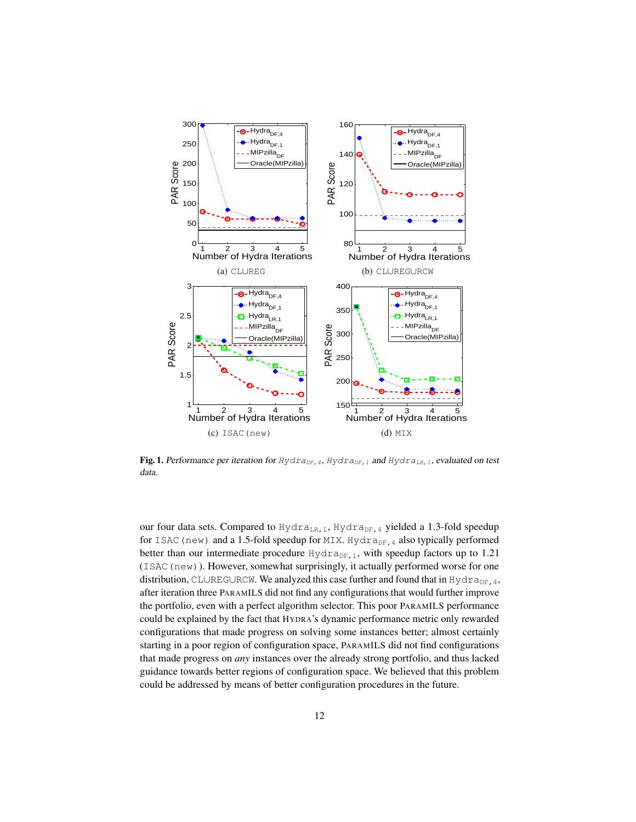

Fig. 1. Performance per iteration for  $HydrapF,4$ ,  $HydrapF,1$  and  $HydrapF,1$ , evaluated on test data.

our four data sets. Compared to  $Hydra_{LR,1}$ , Hydra<sub>DF, 4</sub> yielded a 1.3-fold speedup for ISAC (new) and a 1.5-fold speedup for MIX. Hydra $_{\text{DF, 4}}$  also typically performed better than our intermediate procedure  $Hydr a_{DF,1}$ , with speedup factors up to 1.21 (ISAC(new)). However, somewhat surprisingly, it actually performed worse for one distribution, CL∪REG∪RCW. We analyzed this case further and found that in Hydra<sub>DF, 4</sub>, after iteration three PARAMILS did not find any configurations that would further improve the portfolio, even with a perfect algorithm selector. This poor PARAMILS performance could be explained by the fact that HYDRA's dynamic performance metric only rewarded configurations that made progress on solving some instances better; almost certainly starting in a poor region of configuration space, PARAMILS did not find configurations that made progress on *any* instances over the already strong portfolio, and thus lacked guidance towards better regions of configuration space. We believed that this problem could be addressed by means of better configuration procedures in the future.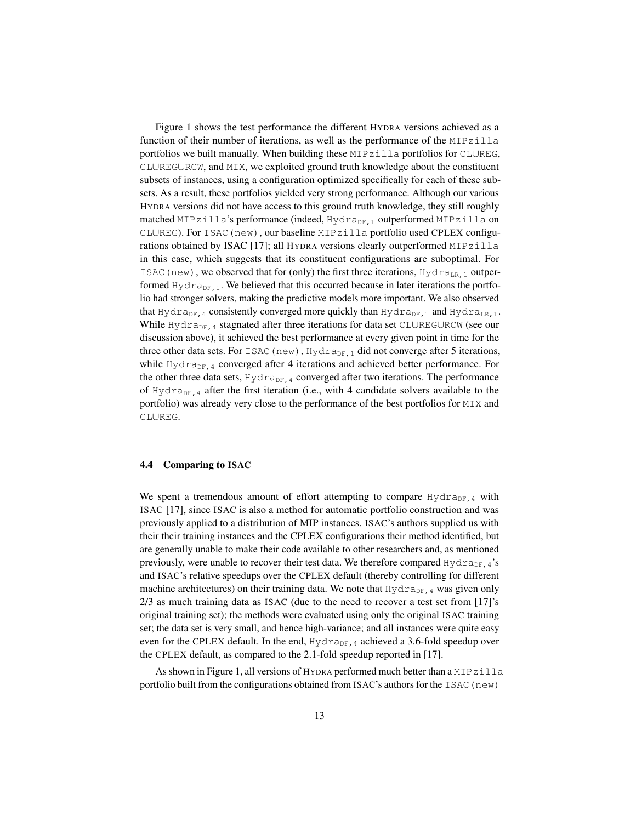Figure 1 shows the test performance the different HYDRA versions achieved as a function of their number of iterations, as well as the performance of the MIPzilla portfolios we built manually. When building these MIPzilla portfolios for CL∪REG, CL∪REG∪RCW, and MIX, we exploited ground truth knowledge about the constituent subsets of instances, using a configuration optimized specifically for each of these subsets. As a result, these portfolios yielded very strong performance. Although our various HYDRA versions did not have access to this ground truth knowledge, they still roughly matched MIPzilla's performance (indeed, Hydra<sub>DF, 1</sub> outperformed MIPzilla on CL∪REG). For ISAC(new), our baseline MIPzilla portfolio used CPLEX configurations obtained by ISAC [17]; all HYDRA versions clearly outperformed MIPzilla in this case, which suggests that its constituent configurations are suboptimal. For ISAC (new), we observed that for (only) the first three iterations,  $Hydra<sub>LR,1</sub>$  outperformed  $Hydra_{DF,1}$ . We believed that this occurred because in later iterations the portfolio had stronger solvers, making the predictive models more important. We also observed that Hydra<sub>DF</sub>, 4 consistently converged more quickly than Hydra<sub>DF</sub>, 1 and Hydra<sub>LR, 1</sub>. While Hydra<sub>DF,4</sub> stagnated after three iterations for data set CL∪REG∪RCW (see our discussion above), it achieved the best performance at every given point in time for the three other data sets. For ISAC (new), Hydra<sub>DF, 1</sub> did not converge after 5 iterations, while  $Hydra_{DF,4}$  converged after 4 iterations and achieved better performance. For the other three data sets,  $Hydra_{DF,4}$  converged after two iterations. The performance of Hydra<sub>DF,4</sub> after the first iteration (i.e., with 4 candidate solvers available to the portfolio) was already very close to the performance of the best portfolios for MIX and CL∪REG.

#### 4.4 Comparing to ISAC

We spent a tremendous amount of effort attempting to compare  $Hydra_{DF,4}$  with ISAC [17], since ISAC is also a method for automatic portfolio construction and was previously applied to a distribution of MIP instances. ISAC's authors supplied us with their their training instances and the CPLEX configurations their method identified, but are generally unable to make their code available to other researchers and, as mentioned previously, were unable to recover their test data. We therefore compared  $Hydr a_{DF,4}$ 's and ISAC's relative speedups over the CPLEX default (thereby controlling for different machine architectures) on their training data. We note that  $Hydra_{DF,4}$  was given only 2/3 as much training data as ISAC (due to the need to recover a test set from [17]'s original training set); the methods were evaluated using only the original ISAC training set; the data set is very small, and hence high-variance; and all instances were quite easy even for the CPLEX default. In the end,  $HydrapF,4$  achieved a 3.6-fold speedup over the CPLEX default, as compared to the 2.1-fold speedup reported in [17].

As shown in Figure 1, all versions of HYDRA performed much better than a MIPzilla portfolio built from the configurations obtained from ISAC's authors for the ISAC ( $new$ )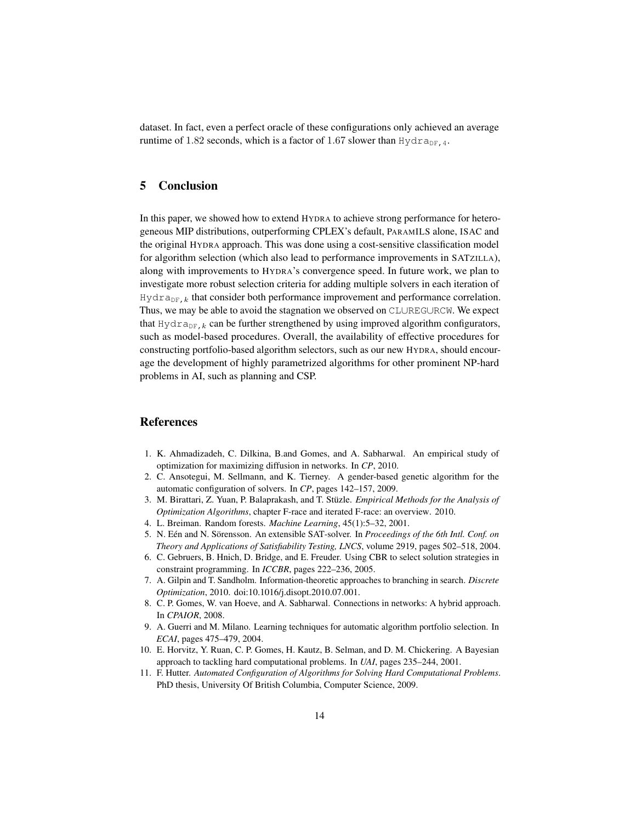dataset. In fact, even a perfect oracle of these configurations only achieved an average runtime of 1.82 seconds, which is a factor of 1.67 slower than Hydra<sub>DF, 4</sub>.

# 5 Conclusion

In this paper, we showed how to extend HYDRA to achieve strong performance for heterogeneous MIP distributions, outperforming CPLEX's default, PARAMILS alone, ISAC and the original HYDRA approach. This was done using a cost-sensitive classification model for algorithm selection (which also lead to performance improvements in SATZILLA), along with improvements to HYDRA's convergence speed. In future work, we plan to investigate more robust selection criteria for adding multiple solvers in each iteration of  $Hydra_{DF, k}$  that consider both performance improvement and performance correlation. Thus, we may be able to avoid the stagnation we observed on CL∪REG∪RCW. We expect that  $Hydra_{DF,k}$  can be further strengthened by using improved algorithm configurators, such as model-based procedures. Overall, the availability of effective procedures for constructing portfolio-based algorithm selectors, such as our new HYDRA, should encourage the development of highly parametrized algorithms for other prominent NP-hard problems in AI, such as planning and CSP.

# References

- 1. K. Ahmadizadeh, C. Dilkina, B.and Gomes, and A. Sabharwal. An empirical study of optimization for maximizing diffusion in networks. In *CP*, 2010.
- 2. C. Ansotegui, M. Sellmann, and K. Tierney. A gender-based genetic algorithm for the automatic configuration of solvers. In *CP*, pages 142–157, 2009.
- 3. M. Birattari, Z. Yuan, P. Balaprakash, and T. Stüzle. *Empirical Methods for the Analysis of Optimization Algorithms*, chapter F-race and iterated F-race: an overview. 2010.
- 4. L. Breiman. Random forests. *Machine Learning*, 45(1):5–32, 2001.
- 5. N. Eén and N. Sörensson. An extensible SAT-solver. In *Proceedings of the 6th Intl. Conf. on Theory and Applications of Satisfiability Testing, LNCS*, volume 2919, pages 502–518, 2004.
- 6. C. Gebruers, B. Hnich, D. Bridge, and E. Freuder. Using CBR to select solution strategies in constraint programming. In *ICCBR*, pages 222–236, 2005.
- 7. A. Gilpin and T. Sandholm. Information-theoretic approaches to branching in search. *Discrete Optimization*, 2010. doi:10.1016/j.disopt.2010.07.001.
- 8. C. P. Gomes, W. van Hoeve, and A. Sabharwal. Connections in networks: A hybrid approach. In *CPAIOR*, 2008.
- 9. A. Guerri and M. Milano. Learning techniques for automatic algorithm portfolio selection. In *ECAI*, pages 475–479, 2004.
- 10. E. Horvitz, Y. Ruan, C. P. Gomes, H. Kautz, B. Selman, and D. M. Chickering. A Bayesian approach to tackling hard computational problems. In *UAI*, pages 235–244, 2001.
- 11. F. Hutter. *Automated Configuration of Algorithms for Solving Hard Computational Problems*. PhD thesis, University Of British Columbia, Computer Science, 2009.